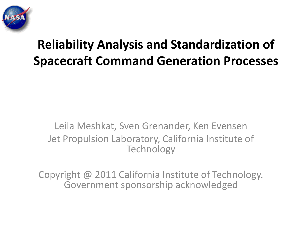

#### **Reliability Analysis and Standardization of Spacecraft Command Generation Processes**

#### Leila Meshkat, Sven Grenander, Ken Evensen Jet Propulsion Laboratory, California Institute of **Technology**

Copyright @ 2011 California Institute of Technology. Government sponsorship acknowledged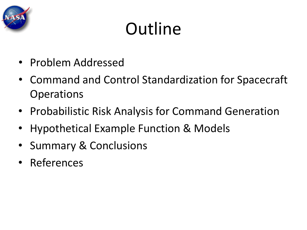

# **Outline**

- Problem Addressed
- Command and Control Standardization for Spacecraft **Operations**
- Probabilistic Risk Analysis for Command Generation
- Hypothetical Example Function & Models
- Summary & Conclusions
- References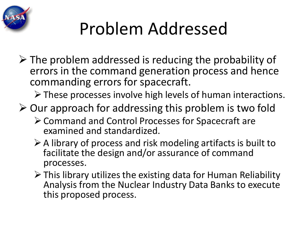

# Problem Addressed

 $\triangleright$  The problem addressed is reducing the probability of errors in the command generation process and hence commanding errors for spacecraft.

 $\triangleright$  These processes involve high levels of human interactions.

- $\triangleright$  Our approach for addressing this problem is two fold
	- Command and Control Processes for Spacecraft are examined and standardized.
	- $\triangleright$  A library of process and risk modeling artifacts is built to facilitate the design and/or assurance of command processes.
	- $\triangleright$  This library utilizes the existing data for Human Reliability Analysis from the Nuclear Industry Data Banks to execute this proposed process.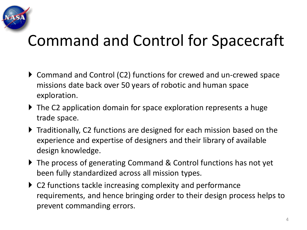

#### Command and Control for Spacecraft

- ▶ Command and Control (C2) functions for crewed and un-crewed space missions date back over 50 years of robotic and human space exploration.
- ▶ The C2 application domain for space exploration represents a huge trade space.
- ▶ Traditionally, C2 functions are designed for each mission based on the experience and expertise of designers and their library of available design knowledge.
- ▶ The process of generating Command & Control functions has not yet been fully standardized across all mission types.
- ▶ C2 functions tackle increasing complexity and performance requirements, and hence bringing order to their design process helps to prevent commanding errors.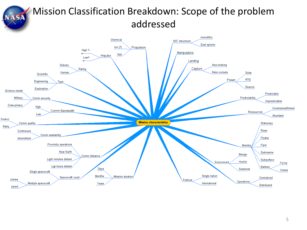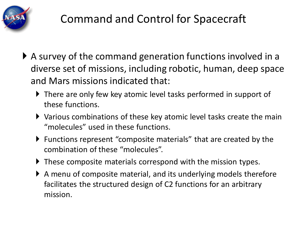

- A survey of the command generation functions involved in a diverse set of missions, including robotic, human, deep space and Mars missions indicated that:
	- There are only few key atomic level tasks performed in support of these functions.
	- Various combinations of these key atomic level tasks create the main "molecules" used in these functions.
	- Functions represent "composite materials" that are created by the combination of these "molecules".
	- These composite materials correspond with the mission types.
	- A menu of composite material, and its underlying models therefore facilitates the structured design of C2 functions for an arbitrary mission.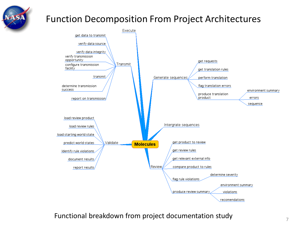

#### Function Decomposition From Project Architectures



Functional breakdown from project documentation study  $\frac{7}{7}$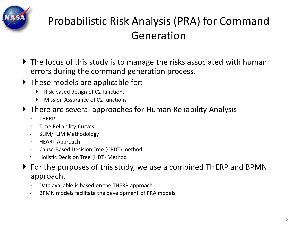

#### Probabilistic Risk Analysis (PRA) for Command Generation

- ▶ The focus of this study is to manage the risks associated with human errors during the command generation process.
- These models are applicable for:
	- Risk-based design of C2 functions
	- Mission Assurance of C2 functions
- There are several approaches for Human Reliability Analysis
	- THERP
	- Time Reliability Curves
	- SLIM/FLIM Methodology
	- HEART Approach
	- Cause-Based Decision Tree (CBDT) method
	- Holistic Decision Tree (HDT) Method
- For the purposes of this study, we use a combined THERP and BPMN approach.
	- Data available is based on the THERP approach.
	- BPMN models facilitate the development of PRA models.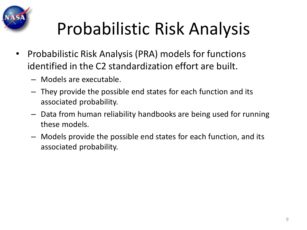

# Probabilistic Risk Analysis

- Probabilistic Risk Analysis (PRA) models for functions identified in the C2 standardization effort are built.
	- Models are executable.
	- They provide the possible end states for each function and its associated probability.
	- Data from human reliability handbooks are being used for running these models.
	- Models provide the possible end states for each function, and its associated probability.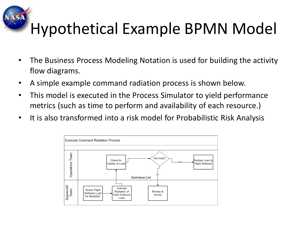### Hypothetical Example BPMN Model

- The Business Process Modeling Notation is used for building the activity flow diagrams.
- A simple example command radiation process is shown below.
- This model is executed in the Process Simulator to yield performance metrics (such as time to perform and availability of each resource.)
- It is also transformed into a risk model for Probabilistic Risk Analysis

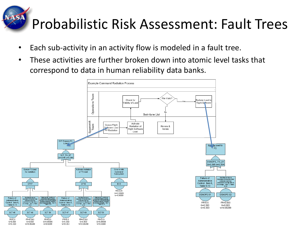## Probabilistic Risk Assessment: Fault Trees

- Each sub-activity in an activity flow is modeled in a fault tree.
- These activities are further broken down into atomic level tasks that correspond to data in human reliability data banks.

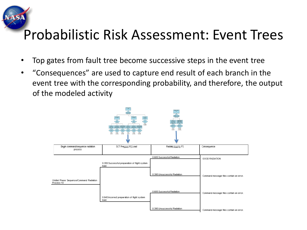#### Probabilistic Risk Assessment: Event Trees

- Top gates from fault tree become successive steps in the event tree
- "Consequences" are used to capture end result of each branch in the event tree with the corresponding probability, and therefore, the output of the modeled activity

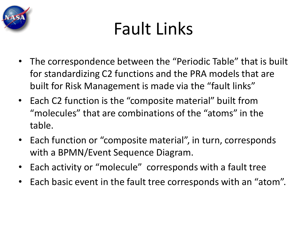

# Fault Links

- The correspondence between the "Periodic Table" that is built for standardizing C2 functions and the PRA models that are built for Risk Management is made via the "fault links"
- Each C2 function is the "composite material" built from "molecules" that are combinations of the "atoms" in the table.
- Each function or "composite material", in turn, corresponds with a BPMN/Event Sequence Diagram.
- Each activity or "molecule" corresponds with a fault tree
- Each basic event in the fault tree corresponds with an "atom".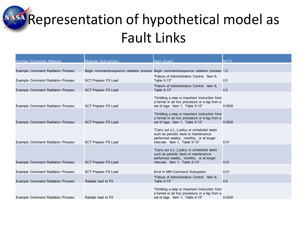**Representation of hypothetical model as** Fault Links

| Function (Composite Material)            | Molecule (Sub-activity)    | Atom (Event)                                                                                                                                                    | <b>MTTF</b> |
|------------------------------------------|----------------------------|-----------------------------------------------------------------------------------------------------------------------------------------------------------------|-------------|
| <b>Example Command Radiation Process</b> |                            | Begin command/sequence radiation process Begin command/sequence radiation process 1.0                                                                           |             |
| Example Command Radiation Process        | <b>SCT Prepare FS Load</b> | "Failure of Administrative Control. Item 6.<br>Table 5-13"                                                                                                      | 0.5         |
| <b>Example Command Radiation Process</b> | <b>SCT Prepare FS Load</b> | "Failure of Administrative Control. Item 6.<br>Table 5-13"                                                                                                      | 0.5         |
| <b>Example Command Radiation Process</b> | <b>SCT Prepare FS Load</b> | "Omitting a step or important instruction from<br>a formal or ad hoc procedure or a tag from a<br>set of tags. Item 1, Table 5-12"                              | 0.0030      |
| Example Command Radiation Process        | <b>SCT Prepare FS Load</b> | "Omitting a step or important instruction from<br>a formal or ad hoc procedure or a tag from a<br>set of tags. Item 1, Table 5-12"                              | 0.0030      |
| <b>Example Command Radiation Process</b> | <b>SCT Prepare FS Load</b> | "Carry out a [] policy or scheduled tasks<br>such as periodic tests or maintenance<br>performed weekly, monthly, or at longer<br>intervals. Item 1, Table 5-13" | 0.01        |
| <b>Example Command Radiation Process</b> | <b>SCT Prepare FS Load</b> | "Carry out a [] policy or scheduled tasks<br>such as periodic tests or maintenance<br>performed weekly, monthly, or at longer<br>intervals. Item 1, Table 5-13" | 0.01        |
|                                          |                            |                                                                                                                                                                 |             |
| <b>Example Command Radiation Process</b> | <b>SCT Prepare FS Load</b> | Error in MM Command Subsystem                                                                                                                                   | 0.01        |
| <b>Example Command Radiation Process</b> | Radiate load to FS         | "Failure of Administrative Control. Item 6,<br>Table 5-13"                                                                                                      | 0.5         |
| <b>Example Command Radiation Process</b> | Radiate load to FS         | "Omitting a step or important instruction from<br>a formal or ad hoc procedure or a tag from a<br>set of tags. Item 1, Table 5-12"                              | 0.0030      |
|                                          |                            |                                                                                                                                                                 |             |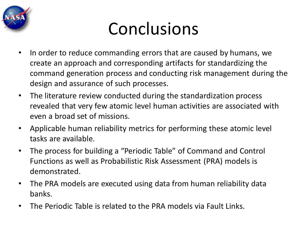

## Conclusions

- In order to reduce commanding errors that are caused by humans, we create an approach and corresponding artifacts for standardizing the command generation process and conducting risk management during the design and assurance of such processes.
- The literature review conducted during the standardization process revealed that very few atomic level human activities are associated with even a broad set of missions.
- Applicable human reliability metrics for performing these atomic level tasks are available.
- The process for building a "Periodic Table" of Command and Control Functions as well as Probabilistic Risk Assessment (PRA) models is demonstrated.
- The PRA models are executed using data from human reliability data banks.
- The Periodic Table is related to the PRA models via Fault Links.